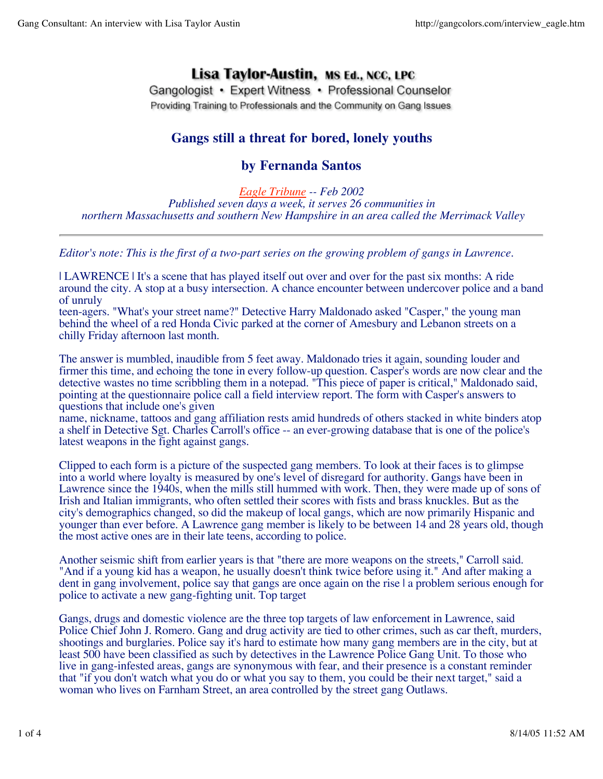# Lisa Taylor-Austin, MS Ed., NCC, LPC

Gangologist • Expert Witness • Professional Counselor Providing Training to Professionals and the Community on Gang Issues

## **Gangs still a threat for bored, lonely youths**

### **by Fernanda Santos**

*Eagle Tribune -- Feb 2002 Published seven days a week, it serves 26 communities in northern Massachusetts and southern New Hampshire in an area called the Merrimack Valley*

*Editor's note: This is the first of a two-part series on the growing problem of gangs in Lawrence.*

| LAWRENCE | It's a scene that has played itself out over and over for the past six months: A ride around the city. A stop at a busy intersection. A chance encounter between undercover police and a band of unruly

teen-agers. "What's your street name?" Detective Harry Maldonado asked "Casper," the young man behind the wheel of a red Honda Civic parked at the corner of Amesbury and Lebanon streets on a chilly Friday afternoon last month.

The answer is mumbled, inaudible from 5 feet away. Maldonado tries it again, sounding louder and firmer this time, and echoing the tone in every follow-up question. Casper's words are now clear and the detective wastes no time scribbling them in a notepad. "This piece of paper is critical," Maldonado said, pointing at the questionnaire police call a field interview report. The form with Casper's answers to questions that include one's given

name, nickname, tattoos and gang affiliation rests amid hundreds of others stacked in white binders atop a shelf in Detective Sgt. Charles Carroll's office -- an ever-growing database that is one of the police's latest weapons in the fight against gangs.

Clipped to each form is a picture of the suspected gang members. To look at their faces is to glimpse into a world where loyalty is measured by one's level of disregard for authority. Gangs have been in Lawrence since the 1940s, when the mills still hummed with work. Then, they were made up of sons of Irish and Italian immigrants, who often settled their scores with fists and brass knuckles. But as the city's demographics changed, so did the makeup of local gangs, which are now primarily Hispanic and younger than ever before. A Lawrence gang member is likely to be between 14 and 28 years old, though the most active ones are in their late teens, according to police.

Another seismic shift from earlier years is that "there are more weapons on the streets," Carroll said. "And if a young kid has a weapon, he usually doesn't think twice before using it." And after making a dent in gang involvement, police say that gangs are once again on the rise | a problem serious enough for police to activate a new gang-fighting unit. Top target

Gangs, drugs and domestic violence are the three top targets of law enforcement in Lawrence, said Police Chief John J. Romero. Gang and drug activity are tied to other crimes, such as car theft, murders, shootings and burglaries. Police say it's hard to estimate how many gang members are in the city, but at least 500 have been classified as such by detectives in the Lawrence Police Gang Unit. To those who live in gang-infested areas, gangs are synonymous with fear, and their presence is a constant reminder that "if you don't watch what you do or what you say to them, you could be their next target," said a woman who lives on Farnham Street, an area controlled by the street gang Outlaws.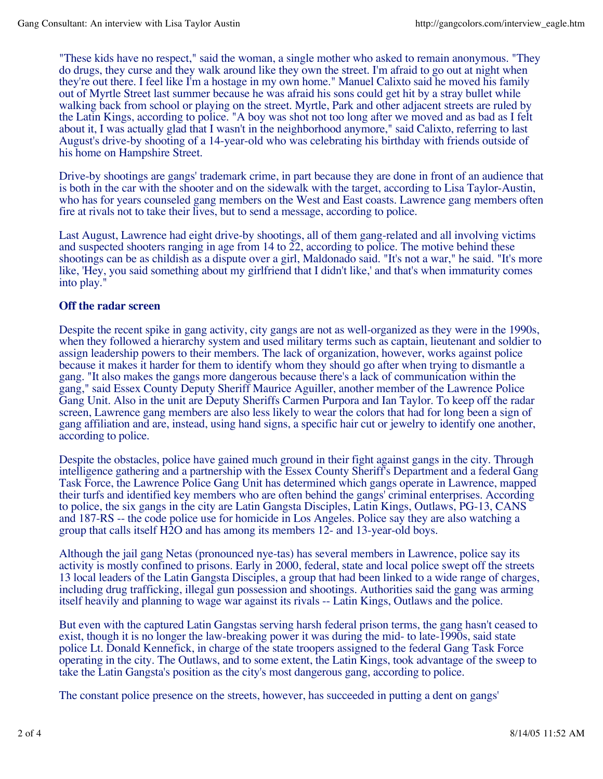"These kids have no respect," said the woman, a single mother who asked to remain anonymous. "They do drugs, they curse and they walk around like they own the street. I'm afraid to go out at night when they're out there. I feel like I'm a hostage in my own home." Manuel Calixto said he moved his family out of Myrtle Street last summer because he was afraid his sons could get hit by a stray bullet while walking back from school or playing on the street. Myrtle, Park and other adjacent streets are ruled by the Latin Kings, according to police. "A boy was shot not too long after we moved and as bad as I felt about it, I was actually glad that I wasn't in the neighborhood anymore," said Calixto, referring to last August's drive-by shooting of a 14-year-old who was celebrating his birthday with friends outside of his home on Hampshire Street.

Drive-by shootings are gangs' trademark crime, in part because they are done in front of an audience that is both in the car with the shooter and on the sidewalk with the target, according to Lisa Taylor-Austin, who has for years counseled gang members on the West and East coasts. Lawrence gang members often fire at rivals not to take their lives, but to send a message, according to police.

Last August, Lawrence had eight drive-by shootings, all of them gang-related and all involving victims and suspected shooters ranging in age from 14 to 22, according to police. The motive behind these shootings can be as childish as a dispute over a girl, Maldonado said. "It's not a war," he said. "It's more like, 'Hey, you said something about my girlfriend that I didn't like,' and that's when immaturity comes into play."

#### **Off the radar screen**

Despite the recent spike in gang activity, city gangs are not as well-organized as they were in the 1990s, when they followed a hierarchy system and used military terms such as captain, lieutenant and soldier to assign leadership powers to their members. The lack of organization, however, works against police because it makes it harder for them to identify whom they should go after when trying to dismantle a gang. "It also makes the gangs more dangerous because there's a lack of communication within the gang," said Essex County Deputy Sheriff Maurice Aguiller, another member of the Lawrence Police Gang Unit. Also in the unit are Deputy Sheriffs Carmen Purpora and Ian Taylor. To keep off the radar screen, Lawrence gang members are also less likely to wear the colors that had for long been a sign of gang affiliation and are, instead, using hand signs, a specific hair cut or jewelry to identify one another, according to police.

Despite the obstacles, police have gained much ground in their fight against gangs in the city. Through intelligence gathering and a partnership with the Essex County Sheriff's Department and a federal Gang Task Force, the Lawrence Police Gang Unit has determined which gangs operate in Lawrence, mapped their turfs and identified key members who are often behind the gangs' criminal enterprises. According to police, the six gangs in the city are Latin Gangsta Disciples, Latin Kings, Outlaws, PG-13, CANS and 187-RS -- the code police use for homicide in Los Angeles. Police say they are also watching a group that calls itself H2O and has among its members 12- and 13-year-old boys.

Although the jail gang Netas (pronounced nye-tas) has several members in Lawrence, police say its activity is mostly confined to prisons. Early in 2000, federal, state and local police swept off the streets 13 local leaders of the Latin Gangsta Disciples, a group that had been linked to a wide range of charges, including drug trafficking, illegal gun possession and shootings. Authorities said the gang was arming itself heavily and planning to wage war against its rivals -- Latin Kings, Outlaws and the police.

But even with the captured Latin Gangstas serving harsh federal prison terms, the gang hasn't ceased to exist, though it is no longer the law-breaking power it was during the mid- to late-1990s, said state police Lt. Donald Kennefick, in charge of the state troopers assigned to the federal Gang Task Force operating in the city. The Outlaws, and to some extent, the Latin Kings, took advantage of the sweep to take the Latin Gangsta's position as the city's most dangerous gang, according to police.

The constant police presence on the streets, however, has succeeded in putting a dent on gangs'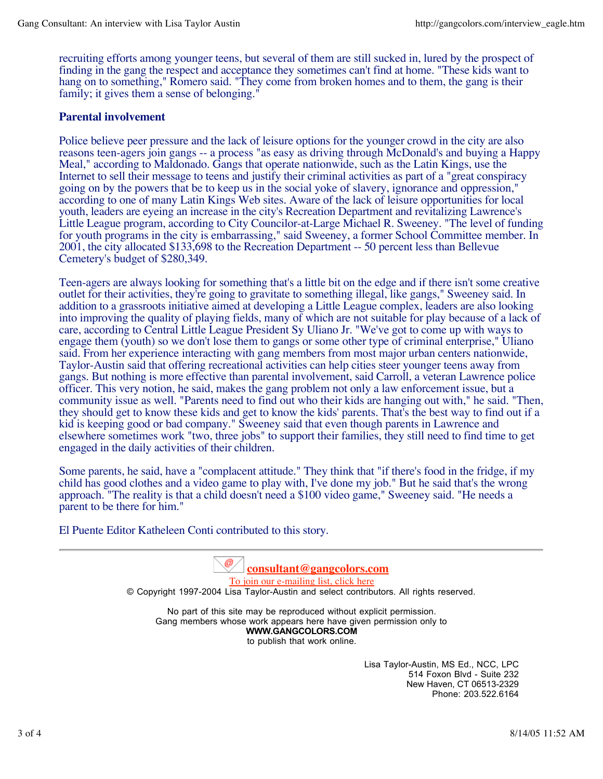recruiting efforts among younger teens, but several of them are still sucked in, lured by the prospect of finding in the gang the respect and acceptance they sometimes can't find at home. "These kids want to hang on to something," Romero said. "They come from broken homes and to them, the gang is their family; it gives them a sense of belonging."

#### **Parental involvement**

Police believe peer pressure and the lack of leisure options for the younger crowd in the city are also reasons teen-agers join gangs -- a process "as easy as driving through McDonald's and buying a Happy Meal," according to Maldonado. Gangs that operate nationwide, such as the Latin Kings, use the Internet to sell their message to teens and justify their criminal activities as part of a "great conspiracy going on by the powers that be to keep us in the social yoke of slavery, ignorance and oppression," according to one of many Latin Kings Web sites. Aware of the lack of leisure opportunities for local youth, leaders are eyeing an increase in the city's Recreation Department and revitalizing Lawrence's Little League program, according to City Councilor-at-Large Michael R. Sweeney. "The level of funding for youth programs in the city is embarrassing," said Sweeney, a former School Committee member. In 2001, the city allocated \$133,698 to the Recreation Department -- 50 percent less than Bellevue Cemetery's budget of \$280,349.

Teen-agers are always looking for something that's a little bit on the edge and if there isn't some creative outlet for their activities, they're going to gravitate to something illegal, like gangs," Sweeney said. In addition to a grassroots initiative aimed at developing a Little League complex, leaders are also looking into improving the quality of playing fields, many of which are not suitable for play because of a lack of care, according to Central Little League President Sy Uliano Jr. "We've got to come up with ways to engage them (youth) so we don't lose them to gangs or some other type of criminal enterprise," Uliano said. From her experience interacting with gang members from most major urban centers nationwide, Taylor-Austin said that offering recreational activities can help cities steer younger teens away from gangs. But nothing is more effective than parental involvement, said Carroll, a veteran Lawrence police officer. This very notion, he said, makes the gang problem not only a law enforcement issue, but a community issue as well. "Parents need to find out who their kids are hanging out with," he said. "Then, they should get to know these kids and get to know the kids' parents. That's the best way to find out if a kid is keeping good or bad company." Sweeney said that even though parents in Lawrence and elsewhere sometimes work "two, three jobs" to support their families, they still need to find time to get engaged in the daily activities of their children.

Some parents, he said, have a "complacent attitude." They think that "if there's food in the fridge, if my child has good clothes and a video game to play with, I've done my job." But he said that's the wrong approach. "The reality is that a child doesn't need a \$100 video game," Sweeney said. "He needs a parent to be there for him."

El Puente Editor Katheleen Conti contributed to this story.

**consultant@gangcolors.com** To join our e-mailing list, click here © Copyright 1997-2004 Lisa Taylor-Austin and select contributors. All rights reserved.

No part of this site may be reproduced without explicit permission. Gang members whose work appears here have given permission only to **WWW.GANGCOLORS.COM** to publish that work online.

> Lisa Taylor-Austin, MS Ed., NCC, LPC 514 Foxon Blvd - Suite 232 New Haven, CT 06513-2329 Phone: 203.522.6164